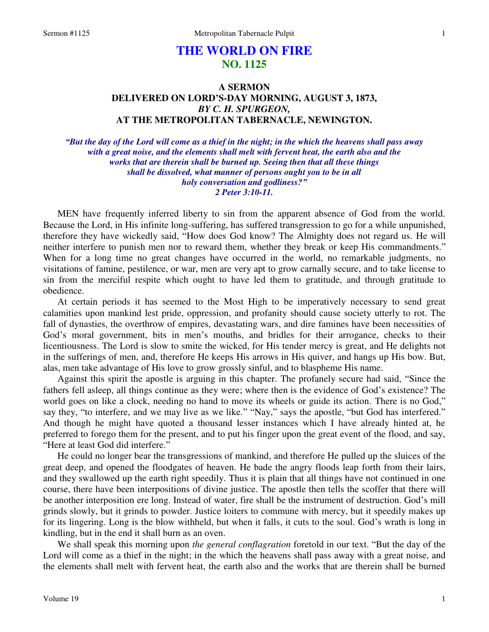# **THE WORLD ON FIRE NO. 1125**

### **A SERMON DELIVERED ON LORD'S-DAY MORNING, AUGUST 3, 1873,**  *BY C. H. SPURGEON,*  **AT THE METROPOLITAN TABERNACLE, NEWINGTON.**

*"But the day of the Lord will come as a thief in the night; in the which the heavens shall pass away with a great noise, and the elements shall melt with fervent heat, the earth also and the works that are therein shall be burned up. Seeing then that all these things shall be dissolved, what manner of persons ought you to be in all holy conversation and godliness?" 2 Peter 3:10-11.* 

MEN have frequently inferred liberty to sin from the apparent absence of God from the world. Because the Lord, in His infinite long-suffering, has suffered transgression to go for a while unpunished, therefore they have wickedly said, "How does God know? The Almighty does not regard us. He will neither interfere to punish men nor to reward them, whether they break or keep His commandments." When for a long time no great changes have occurred in the world, no remarkable judgments, no visitations of famine, pestilence, or war, men are very apt to grow carnally secure, and to take license to sin from the merciful respite which ought to have led them to gratitude, and through gratitude to obedience.

At certain periods it has seemed to the Most High to be imperatively necessary to send great calamities upon mankind lest pride, oppression, and profanity should cause society utterly to rot. The fall of dynasties, the overthrow of empires, devastating wars, and dire famines have been necessities of God's moral government, bits in men's mouths, and bridles for their arrogance, checks to their licentiousness. The Lord is slow to smite the wicked, for His tender mercy is great, and He delights not in the sufferings of men, and, therefore He keeps His arrows in His quiver, and hangs up His bow. But, alas, men take advantage of His love to grow grossly sinful, and to blaspheme His name.

Against this spirit the apostle is arguing in this chapter. The profanely secure had said, "Since the fathers fell asleep, all things continue as they were; where then is the evidence of God's existence? The world goes on like a clock, needing no hand to move its wheels or guide its action. There is no God," say they, "to interfere, and we may live as we like." "Nay," says the apostle, "but God has interfered." And though he might have quoted a thousand lesser instances which I have already hinted at, he preferred to forego them for the present, and to put his finger upon the great event of the flood, and say, "Here at least God did interfere."

He could no longer bear the transgressions of mankind, and therefore He pulled up the sluices of the great deep, and opened the floodgates of heaven. He bade the angry floods leap forth from their lairs, and they swallowed up the earth right speedily. Thus it is plain that all things have not continued in one course, there have been interpositions of divine justice. The apostle then tells the scoffer that there will be another interposition ere long. Instead of water, fire shall be the instrument of destruction. God's mill grinds slowly, but it grinds to powder. Justice loiters to commune with mercy, but it speedily makes up for its lingering. Long is the blow withheld, but when it falls, it cuts to the soul. God's wrath is long in kindling, but in the end it shall burn as an oven.

We shall speak this morning upon *the general conflagration* foretold in our text. "But the day of the Lord will come as a thief in the night; in the which the heavens shall pass away with a great noise, and the elements shall melt with fervent heat, the earth also and the works that are therein shall be burned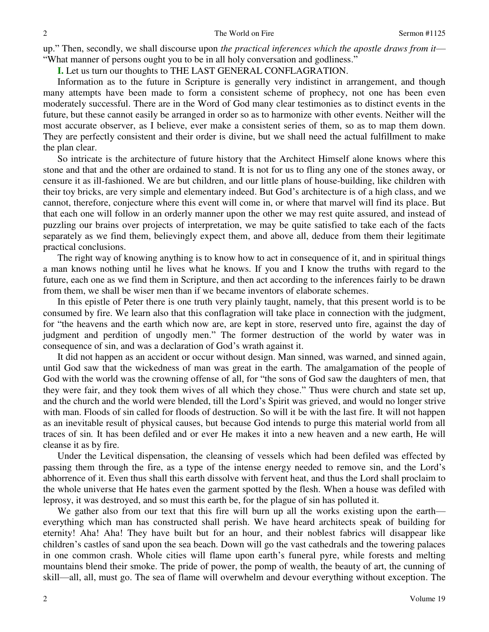up." Then, secondly, we shall discourse upon *the practical inferences which the apostle draws from it*— "What manner of persons ought you to be in all holy conversation and godliness."

**I.** Let us turn our thoughts to THE LAST GENERAL CONFLAGRATION.

Information as to the future in Scripture is generally very indistinct in arrangement, and though many attempts have been made to form a consistent scheme of prophecy, not one has been even moderately successful. There are in the Word of God many clear testimonies as to distinct events in the future, but these cannot easily be arranged in order so as to harmonize with other events. Neither will the most accurate observer, as I believe, ever make a consistent series of them, so as to map them down. They are perfectly consistent and their order is divine, but we shall need the actual fulfillment to make the plan clear.

So intricate is the architecture of future history that the Architect Himself alone knows where this stone and that and the other are ordained to stand. It is not for us to fling any one of the stones away, or censure it as ill-fashioned. We are but children, and our little plans of house-building, like children with their toy bricks, are very simple and elementary indeed. But God's architecture is of a high class, and we cannot, therefore, conjecture where this event will come in, or where that marvel will find its place. But that each one will follow in an orderly manner upon the other we may rest quite assured, and instead of puzzling our brains over projects of interpretation, we may be quite satisfied to take each of the facts separately as we find them, believingly expect them, and above all, deduce from them their legitimate practical conclusions.

The right way of knowing anything is to know how to act in consequence of it, and in spiritual things a man knows nothing until he lives what he knows. If you and I know the truths with regard to the future, each one as we find them in Scripture, and then act according to the inferences fairly to be drawn from them, we shall be wiser men than if we became inventors of elaborate schemes.

In this epistle of Peter there is one truth very plainly taught, namely, that this present world is to be consumed by fire. We learn also that this conflagration will take place in connection with the judgment, for "the heavens and the earth which now are, are kept in store, reserved unto fire, against the day of judgment and perdition of ungodly men." The former destruction of the world by water was in consequence of sin, and was a declaration of God's wrath against it.

It did not happen as an accident or occur without design. Man sinned, was warned, and sinned again, until God saw that the wickedness of man was great in the earth. The amalgamation of the people of God with the world was the crowning offense of all, for "the sons of God saw the daughters of men, that they were fair, and they took them wives of all which they chose." Thus were church and state set up, and the church and the world were blended, till the Lord's Spirit was grieved, and would no longer strive with man. Floods of sin called for floods of destruction. So will it be with the last fire. It will not happen as an inevitable result of physical causes, but because God intends to purge this material world from all traces of sin*.* It has been defiled and or ever He makes it into a new heaven and a new earth, He will cleanse it as by fire.

Under the Levitical dispensation, the cleansing of vessels which had been defiled was effected by passing them through the fire, as a type of the intense energy needed to remove sin, and the Lord's abhorrence of it. Even thus shall this earth dissolve with fervent heat, and thus the Lord shall proclaim to the whole universe that He hates even the garment spotted by the flesh. When a house was defiled with leprosy, it was destroyed, and so must this earth be, for the plague of sin has polluted it.

We gather also from our text that this fire will burn up all the works existing upon the earth everything which man has constructed shall perish. We have heard architects speak of building for eternity! Aha! Aha! They have built but for an hour, and their noblest fabrics will disappear like children's castles of sand upon the sea beach. Down will go the vast cathedrals and the towering palaces in one common crash. Whole cities will flame upon earth's funeral pyre, while forests and melting mountains blend their smoke. The pride of power, the pomp of wealth, the beauty of art, the cunning of skill—all, all, must go. The sea of flame will overwhelm and devour everything without exception. The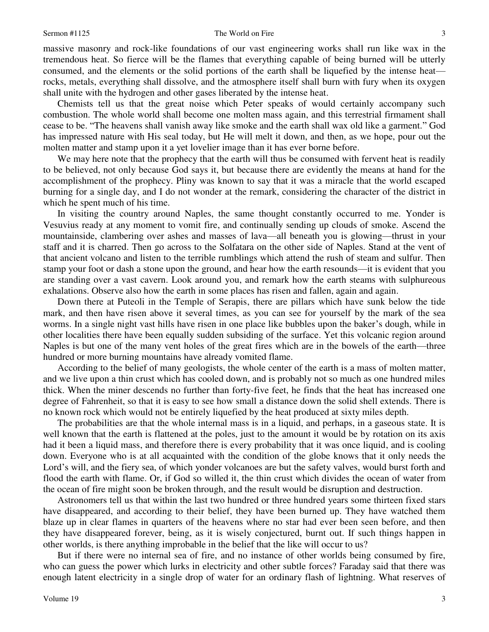#### Sermon #1125 The World on Fire

massive masonry and rock-like foundations of our vast engineering works shall run like wax in the tremendous heat. So fierce will be the flames that everything capable of being burned will be utterly consumed, and the elements or the solid portions of the earth shall be liquefied by the intense heat rocks, metals, everything shall dissolve, and the atmosphere itself shall burn with fury when its oxygen shall unite with the hydrogen and other gases liberated by the intense heat.

Chemists tell us that the great noise which Peter speaks of would certainly accompany such combustion. The whole world shall become one molten mass again, and this terrestrial firmament shall cease to be. "The heavens shall vanish away like smoke and the earth shall wax old like a garment." God has impressed nature with His seal today, but He will melt it down, and then, as we hope, pour out the molten matter and stamp upon it a yet lovelier image than it has ever borne before.

We may here note that the prophecy that the earth will thus be consumed with fervent heat is readily to be believed, not only because God says it, but because there are evidently the means at hand for the accomplishment of the prophecy. Pliny was known to say that it was a miracle that the world escaped burning for a single day, and I do not wonder at the remark, considering the character of the district in which he spent much of his time.

In visiting the country around Naples, the same thought constantly occurred to me. Yonder is Vesuvius ready at any moment to vomit fire, and continually sending up clouds of smoke. Ascend the mountainside, clambering over ashes and masses of lava—all beneath you is glowing—thrust in your staff and it is charred. Then go across to the Solfatara on the other side of Naples. Stand at the vent of that ancient volcano and listen to the terrible rumblings which attend the rush of steam and sulfur. Then stamp your foot or dash a stone upon the ground, and hear how the earth resounds—it is evident that you are standing over a vast cavern. Look around you, and remark how the earth steams with sulphureous exhalations. Observe also how the earth in some places has risen and fallen, again and again.

Down there at Puteoli in the Temple of Serapis, there are pillars which have sunk below the tide mark, and then have risen above it several times, as you can see for yourself by the mark of the sea worms. In a single night vast hills have risen in one place like bubbles upon the baker's dough, while in other localities there have been equally sudden subsiding of the surface. Yet this volcanic region around Naples is but one of the many vent holes of the great fires which are in the bowels of the earth—three hundred or more burning mountains have already vomited flame.

According to the belief of many geologists, the whole center of the earth is a mass of molten matter, and we live upon a thin crust which has cooled down, and is probably not so much as one hundred miles thick. When the miner descends no further than forty-five feet, he finds that the heat has increased one degree of Fahrenheit, so that it is easy to see how small a distance down the solid shell extends. There is no known rock which would not be entirely liquefied by the heat produced at sixty miles depth.

The probabilities are that the whole internal mass is in a liquid, and perhaps, in a gaseous state. It is well known that the earth is flattened at the poles, just to the amount it would be by rotation on its axis had it been a liquid mass, and therefore there is every probability that it was once liquid, and is cooling down. Everyone who is at all acquainted with the condition of the globe knows that it only needs the Lord's will, and the fiery sea, of which yonder volcanoes are but the safety valves, would burst forth and flood the earth with flame. Or, if God so willed it, the thin crust which divides the ocean of water from the ocean of fire might soon be broken through, and the result would be disruption and destruction.

Astronomers tell us that within the last two hundred or three hundred years some thirteen fixed stars have disappeared, and according to their belief, they have been burned up. They have watched them blaze up in clear flames in quarters of the heavens where no star had ever been seen before, and then they have disappeared forever, being, as it is wisely conjectured, burnt out. If such things happen in other worlds, is there anything improbable in the belief that the like will occur to us?

But if there were no internal sea of fire, and no instance of other worlds being consumed by fire, who can guess the power which lurks in electricity and other subtle forces? Faraday said that there was enough latent electricity in a single drop of water for an ordinary flash of lightning. What reserves of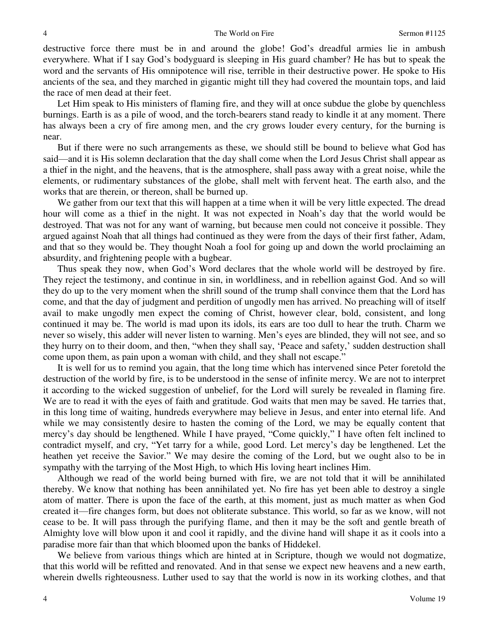destructive force there must be in and around the globe! God's dreadful armies lie in ambush everywhere. What if I say God's bodyguard is sleeping in His guard chamber? He has but to speak the word and the servants of His omnipotence will rise, terrible in their destructive power. He spoke to His ancients of the sea, and they marched in gigantic might till they had covered the mountain tops, and laid the race of men dead at their feet.

Let Him speak to His ministers of flaming fire, and they will at once subdue the globe by quenchless burnings. Earth is as a pile of wood, and the torch-bearers stand ready to kindle it at any moment. There has always been a cry of fire among men, and the cry grows louder every century, for the burning is near.

But if there were no such arrangements as these, we should still be bound to believe what God has said—and it is His solemn declaration that the day shall come when the Lord Jesus Christ shall appear as a thief in the night, and the heavens, that is the atmosphere, shall pass away with a great noise, while the elements, or rudimentary substances of the globe, shall melt with fervent heat. The earth also, and the works that are therein, or thereon, shall be burned up.

We gather from our text that this will happen at a time when it will be very little expected. The dread hour will come as a thief in the night. It was not expected in Noah's day that the world would be destroyed. That was not for any want of warning, but because men could not conceive it possible. They argued against Noah that all things had continued as they were from the days of their first father, Adam, and that so they would be. They thought Noah a fool for going up and down the world proclaiming an absurdity, and frightening people with a bugbear.

Thus speak they now, when God's Word declares that the whole world will be destroyed by fire. They reject the testimony, and continue in sin, in worldliness, and in rebellion against God. And so will they do up to the very moment when the shrill sound of the trump shall convince them that the Lord has come, and that the day of judgment and perdition of ungodly men has arrived. No preaching will of itself avail to make ungodly men expect the coming of Christ, however clear, bold, consistent, and long continued it may be. The world is mad upon its idols, its ears are too dull to hear the truth. Charm we never so wisely, this adder will never listen to warning. Men's eyes are blinded, they will not see, and so they hurry on to their doom, and then, "when they shall say, 'Peace and safety,' sudden destruction shall come upon them, as pain upon a woman with child, and they shall not escape."

It is well for us to remind you again, that the long time which has intervened since Peter foretold the destruction of the world by fire, is to be understood in the sense of infinite mercy. We are not to interpret it according to the wicked suggestion of unbelief, for the Lord will surely be revealed in flaming fire. We are to read it with the eyes of faith and gratitude. God waits that men may be saved. He tarries that, in this long time of waiting, hundreds everywhere may believe in Jesus, and enter into eternal life. And while we may consistently desire to hasten the coming of the Lord, we may be equally content that mercy's day should be lengthened. While I have prayed, "Come quickly," I have often felt inclined to contradict myself, and cry, "Yet tarry for a while, good Lord. Let mercy's day be lengthened. Let the heathen yet receive the Savior." We may desire the coming of the Lord, but we ought also to be in sympathy with the tarrying of the Most High, to which His loving heart inclines Him.

Although we read of the world being burned with fire, we are not told that it will be annihilated thereby. We know that nothing has been annihilated yet. No fire has yet been able to destroy a single atom of matter. There is upon the face of the earth, at this moment, just as much matter as when God created it—fire changes form, but does not obliterate substance. This world, so far as we know, will not cease to be. It will pass through the purifying flame, and then it may be the soft and gentle breath of Almighty love will blow upon it and cool it rapidly, and the divine hand will shape it as it cools into a paradise more fair than that which bloomed upon the banks of Hiddekel.

We believe from various things which are hinted at in Scripture, though we would not dogmatize, that this world will be refitted and renovated. And in that sense we expect new heavens and a new earth, wherein dwells righteousness. Luther used to say that the world is now in its working clothes, and that

4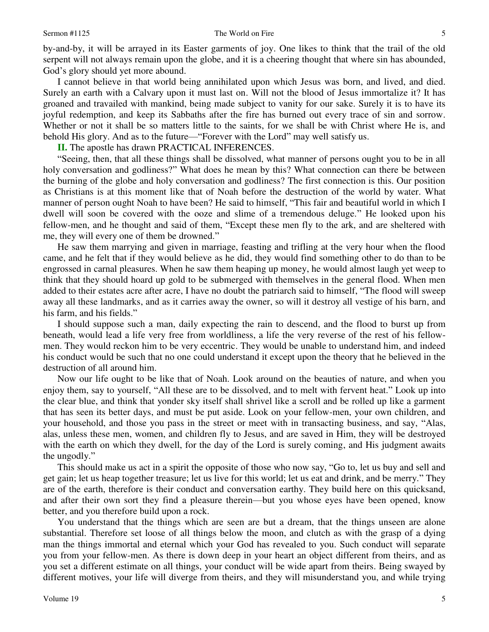by-and-by, it will be arrayed in its Easter garments of joy. One likes to think that the trail of the old serpent will not always remain upon the globe, and it is a cheering thought that where sin has abounded, God's glory should yet more abound.

I cannot believe in that world being annihilated upon which Jesus was born, and lived, and died. Surely an earth with a Calvary upon it must last on. Will not the blood of Jesus immortalize it? It has groaned and travailed with mankind, being made subject to vanity for our sake. Surely it is to have its joyful redemption, and keep its Sabbaths after the fire has burned out every trace of sin and sorrow. Whether or not it shall be so matters little to the saints, for we shall be with Christ where He is, and behold His glory. And as to the future—"Forever with the Lord" may well satisfy us.

**II.** The apostle has drawn PRACTICAL INFERENCES.

"Seeing, then, that all these things shall be dissolved, what manner of persons ought you to be in all holy conversation and godliness?" What does he mean by this? What connection can there be between the burning of the globe and holy conversation and godliness? The first connection is this. Our position as Christians is at this moment like that of Noah before the destruction of the world by water. What manner of person ought Noah to have been? He said to himself, "This fair and beautiful world in which I dwell will soon be covered with the ooze and slime of a tremendous deluge." He looked upon his fellow-men, and he thought and said of them, "Except these men fly to the ark, and are sheltered with me, they will every one of them be drowned."

He saw them marrying and given in marriage, feasting and trifling at the very hour when the flood came, and he felt that if they would believe as he did, they would find something other to do than to be engrossed in carnal pleasures. When he saw them heaping up money, he would almost laugh yet weep to think that they should hoard up gold to be submerged with themselves in the general flood. When men added to their estates acre after acre, I have no doubt the patriarch said to himself, "The flood will sweep away all these landmarks, and as it carries away the owner, so will it destroy all vestige of his barn, and his farm, and his fields."

I should suppose such a man, daily expecting the rain to descend, and the flood to burst up from beneath, would lead a life very free from worldliness, a life the very reverse of the rest of his fellowmen. They would reckon him to be very eccentric. They would be unable to understand him, and indeed his conduct would be such that no one could understand it except upon the theory that he believed in the destruction of all around him.

Now our life ought to be like that of Noah. Look around on the beauties of nature, and when you enjoy them, say to yourself, "All these are to be dissolved, and to melt with fervent heat." Look up into the clear blue, and think that yonder sky itself shall shrivel like a scroll and be rolled up like a garment that has seen its better days, and must be put aside. Look on your fellow-men, your own children, and your household, and those you pass in the street or meet with in transacting business, and say, "Alas, alas, unless these men, women, and children fly to Jesus, and are saved in Him, they will be destroyed with the earth on which they dwell, for the day of the Lord is surely coming, and His judgment awaits the ungodly."

This should make us act in a spirit the opposite of those who now say, "Go to, let us buy and sell and get gain; let us heap together treasure; let us live for this world; let us eat and drink, and be merry." They are of the earth, therefore is their conduct and conversation earthy. They build here on this quicksand, and after their own sort they find a pleasure therein—but you whose eyes have been opened, know better, and you therefore build upon a rock.

You understand that the things which are seen are but a dream, that the things unseen are alone substantial. Therefore set loose of all things below the moon, and clutch as with the grasp of a dying man the things immortal and eternal which your God has revealed to you. Such conduct will separate you from your fellow-men. As there is down deep in your heart an object different from theirs, and as you set a different estimate on all things, your conduct will be wide apart from theirs. Being swayed by different motives, your life will diverge from theirs, and they will misunderstand you, and while trying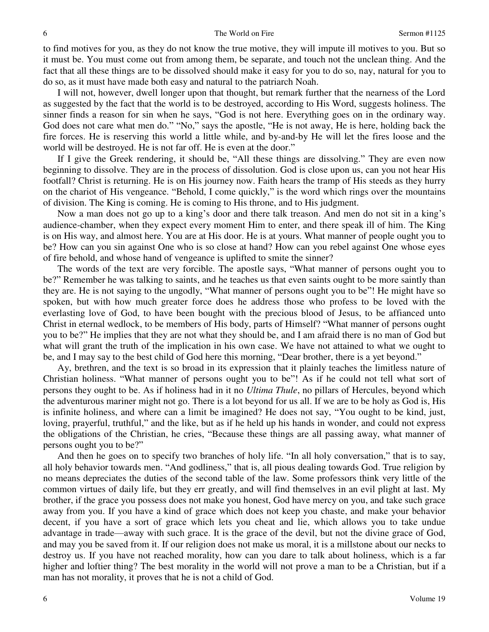to find motives for you, as they do not know the true motive, they will impute ill motives to you. But so it must be. You must come out from among them, be separate, and touch not the unclean thing. And the fact that all these things are to be dissolved should make it easy for you to do so, nay, natural for you to do so, as it must have made both easy and natural to the patriarch Noah.

I will not, however, dwell longer upon that thought, but remark further that the nearness of the Lord as suggested by the fact that the world is to be destroyed, according to His Word, suggests holiness. The sinner finds a reason for sin when he says, "God is not here. Everything goes on in the ordinary way. God does not care what men do." "No," says the apostle, "He is not away, He is here, holding back the fire forces. He is reserving this world a little while, and by-and-by He will let the fires loose and the world will be destroyed. He is not far off. He is even at the door."

If I give the Greek rendering, it should be, "All these things are dissolving." They are even now beginning to dissolve. They are in the process of dissolution. God is close upon us, can you not hear His footfall? Christ is returning. He is on His journey now. Faith hears the tramp of His steeds as they hurry on the chariot of His vengeance. "Behold, I come quickly," is the word which rings over the mountains of division. The King is coming. He is coming to His throne, and to His judgment.

Now a man does not go up to a king's door and there talk treason. And men do not sit in a king's audience-chamber, when they expect every moment Him to enter, and there speak ill of him. The King is on His way, and almost here. You are at His door. He is at yours. What manner of people ought you to be? How can you sin against One who is so close at hand? How can you rebel against One whose eyes of fire behold, and whose hand of vengeance is uplifted to smite the sinner?

The words of the text are very forcible. The apostle says, "What manner of persons ought you to be?" Remember he was talking to saints, and he teaches us that even saints ought to be more saintly than they are. He is not saying to the ungodly, "What manner of persons ought you to be"! He might have so spoken, but with how much greater force does he address those who profess to be loved with the everlasting love of God, to have been bought with the precious blood of Jesus, to be affianced unto Christ in eternal wedlock, to be members of His body, parts of Himself? "What manner of persons ought you to be?" He implies that they are not what they should be, and I am afraid there is no man of God but what will grant the truth of the implication in his own case. We have not attained to what we ought to be, and I may say to the best child of God here this morning, "Dear brother, there is a yet beyond."

Ay, brethren, and the text is so broad in its expression that it plainly teaches the limitless nature of Christian holiness. "What manner of persons ought you to be"! As if he could not tell what sort of persons they ought to be. As if holiness had in it no *Ultima Thule*, no pillars of Hercules, beyond which the adventurous mariner might not go. There is a lot beyond for us all. If we are to be holy as God is, His is infinite holiness, and where can a limit be imagined? He does not say, "You ought to be kind, just, loving, prayerful, truthful," and the like, but as if he held up his hands in wonder, and could not express the obligations of the Christian, he cries, "Because these things are all passing away, what manner of persons ought you to be?"

And then he goes on to specify two branches of holy life. "In all holy conversation," that is to say, all holy behavior towards men. "And godliness," that is, all pious dealing towards God. True religion by no means depreciates the duties of the second table of the law. Some professors think very little of the common virtues of daily life, but they err greatly, and will find themselves in an evil plight at last. My brother, if the grace you possess does not make you honest, God have mercy on you, and take such grace away from you. If you have a kind of grace which does not keep you chaste, and make your behavior decent, if you have a sort of grace which lets you cheat and lie, which allows you to take undue advantage in trade—away with such grace. It is the grace of the devil, but not the divine grace of God, and may you be saved from it. If our religion does not make us moral, it is a millstone about our necks to destroy us. If you have not reached morality, how can you dare to talk about holiness, which is a far higher and loftier thing? The best morality in the world will not prove a man to be a Christian, but if a man has not morality, it proves that he is not a child of God.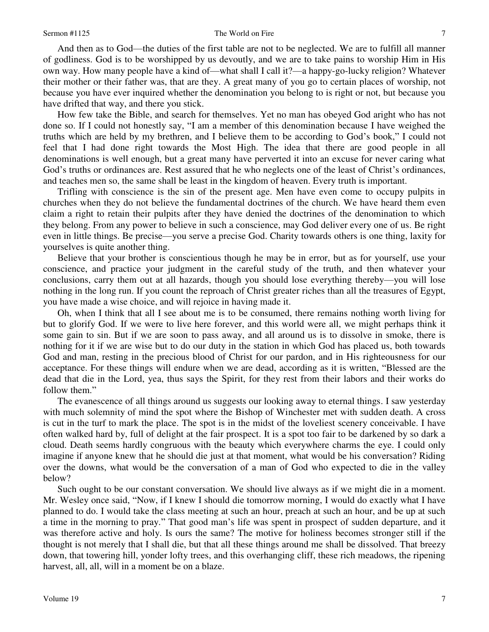And then as to God—the duties of the first table are not to be neglected. We are to fulfill all manner of godliness. God is to be worshipped by us devoutly, and we are to take pains to worship Him in His own way. How many people have a kind of—what shall I call it?—a happy-go-lucky religion? Whatever their mother or their father was, that are they. A great many of you go to certain places of worship, not because you have ever inquired whether the denomination you belong to is right or not, but because you have drifted that way, and there you stick.

How few take the Bible, and search for themselves. Yet no man has obeyed God aright who has not done so. If I could not honestly say, "I am a member of this denomination because I have weighed the truths which are held by my brethren, and I believe them to be according to God's book," I could not feel that I had done right towards the Most High. The idea that there are good people in all denominations is well enough, but a great many have perverted it into an excuse for never caring what God's truths or ordinances are. Rest assured that he who neglects one of the least of Christ's ordinances, and teaches men so, the same shall be least in the kingdom of heaven. Every truth is important.

Trifling with conscience is the sin of the present age. Men have even come to occupy pulpits in churches when they do not believe the fundamental doctrines of the church. We have heard them even claim a right to retain their pulpits after they have denied the doctrines of the denomination to which they belong. From any power to believe in such a conscience, may God deliver every one of us. Be right even in little things. Be precise—you serve a precise God. Charity towards others is one thing, laxity for yourselves is quite another thing.

Believe that your brother is conscientious though he may be in error, but as for yourself, use your conscience, and practice your judgment in the careful study of the truth, and then whatever your conclusions, carry them out at all hazards, though you should lose everything thereby—you will lose nothing in the long run. If you count the reproach of Christ greater riches than all the treasures of Egypt, you have made a wise choice, and will rejoice in having made it.

Oh, when I think that all I see about me is to be consumed, there remains nothing worth living for but to glorify God. If we were to live here forever, and this world were all, we might perhaps think it some gain to sin. But if we are soon to pass away, and all around us is to dissolve in smoke, there is nothing for it if we are wise but to do our duty in the station in which God has placed us, both towards God and man, resting in the precious blood of Christ for our pardon, and in His righteousness for our acceptance. For these things will endure when we are dead, according as it is written, "Blessed are the dead that die in the Lord, yea, thus says the Spirit, for they rest from their labors and their works do follow them."

The evanescence of all things around us suggests our looking away to eternal things. I saw yesterday with much solemnity of mind the spot where the Bishop of Winchester met with sudden death. A cross is cut in the turf to mark the place. The spot is in the midst of the loveliest scenery conceivable. I have often walked hard by, full of delight at the fair prospect. It is a spot too fair to be darkened by so dark a cloud. Death seems hardly congruous with the beauty which everywhere charms the eye. I could only imagine if anyone knew that he should die just at that moment, what would be his conversation? Riding over the downs, what would be the conversation of a man of God who expected to die in the valley below?

Such ought to be our constant conversation. We should live always as if we might die in a moment. Mr. Wesley once said, "Now, if I knew I should die tomorrow morning, I would do exactly what I have planned to do. I would take the class meeting at such an hour, preach at such an hour, and be up at such a time in the morning to pray." That good man's life was spent in prospect of sudden departure, and it was therefore active and holy. Is ours the same? The motive for holiness becomes stronger still if the thought is not merely that I shall die, but that all these things around me shall be dissolved. That breezy down, that towering hill, yonder lofty trees, and this overhanging cliff, these rich meadows, the ripening harvest, all, all, will in a moment be on a blaze.

7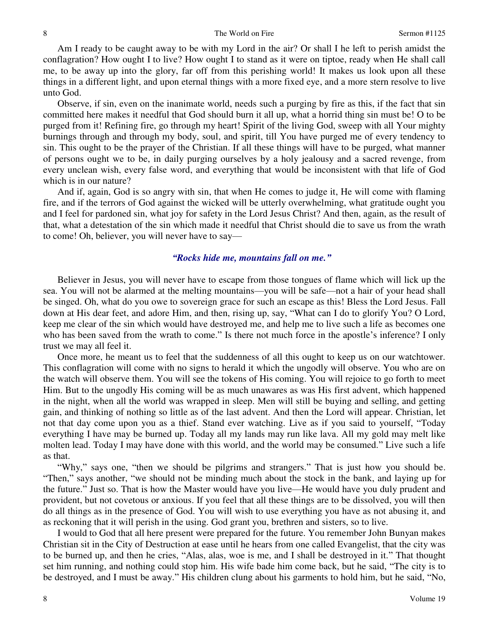Am I ready to be caught away to be with my Lord in the air? Or shall I he left to perish amidst the conflagration? How ought I to live? How ought I to stand as it were on tiptoe, ready when He shall call me, to be away up into the glory, far off from this perishing world! It makes us look upon all these things in a different light, and upon eternal things with a more fixed eye, and a more stern resolve to live unto God.

Observe, if sin, even on the inanimate world, needs such a purging by fire as this, if the fact that sin committed here makes it needful that God should burn it all up, what a horrid thing sin must be! O to be purged from it! Refining fire, go through my heart! Spirit of the living God, sweep with all Your mighty burnings through and through my body, soul, and spirit, till You have purged me of every tendency to sin. This ought to be the prayer of the Christian. If all these things will have to be purged, what manner of persons ought we to be, in daily purging ourselves by a holy jealousy and a sacred revenge, from every unclean wish, every false word, and everything that would be inconsistent with that life of God which is in our nature?

And if, again, God is so angry with sin, that when He comes to judge it, He will come with flaming fire, and if the terrors of God against the wicked will be utterly overwhelming, what gratitude ought you and I feel for pardoned sin, what joy for safety in the Lord Jesus Christ? And then, again, as the result of that, what a detestation of the sin which made it needful that Christ should die to save us from the wrath to come! Oh, believer, you will never have to say—

### *"Rocks hide me, mountains fall on me."*

Believer in Jesus, you will never have to escape from those tongues of flame which will lick up the sea. You will not be alarmed at the melting mountains—you will be safe—not a hair of your head shall be singed. Oh, what do you owe to sovereign grace for such an escape as this! Bless the Lord Jesus. Fall down at His dear feet, and adore Him, and then, rising up, say, "What can I do to glorify You? O Lord, keep me clear of the sin which would have destroyed me, and help me to live such a life as becomes one who has been saved from the wrath to come." Is there not much force in the apostle's inference? I only trust we may all feel it.

Once more, he meant us to feel that the suddenness of all this ought to keep us on our watchtower. This conflagration will come with no signs to herald it which the ungodly will observe. You who are on the watch will observe them. You will see the tokens of His coming. You will rejoice to go forth to meet Him. But to the ungodly His coming will be as much unawares as was His first advent, which happened in the night, when all the world was wrapped in sleep. Men will still be buying and selling, and getting gain, and thinking of nothing so little as of the last advent. And then the Lord will appear. Christian, let not that day come upon you as a thief. Stand ever watching. Live as if you said to yourself, "Today everything I have may be burned up. Today all my lands may run like lava. All my gold may melt like molten lead. Today I may have done with this world, and the world may be consumed." Live such a life as that.

"Why," says one, "then we should be pilgrims and strangers." That is just how you should be. "Then," says another, "we should not be minding much about the stock in the bank, and laying up for the future." Just so. That is how the Master would have you live—He would have you duly prudent and provident, but not covetous or anxious. If you feel that all these things are to be dissolved, you will then do all things as in the presence of God. You will wish to use everything you have as not abusing it, and as reckoning that it will perish in the using. God grant you, brethren and sisters, so to live.

I would to God that all here present were prepared for the future. You remember John Bunyan makes Christian sit in the City of Destruction at ease until he hears from one called Evangelist, that the city was to be burned up, and then he cries, "Alas, alas, woe is me, and I shall be destroyed in it." That thought set him running, and nothing could stop him. His wife bade him come back, but he said, "The city is to be destroyed, and I must be away." His children clung about his garments to hold him, but he said, "No,